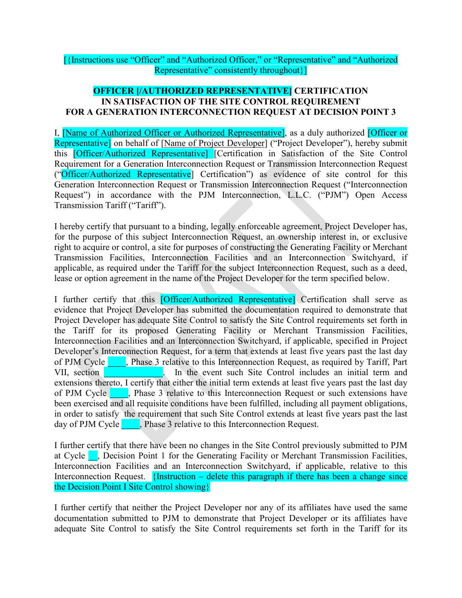## [{Instructions use "Officer" and "Authorized Officer," or "Representative" and "Authorized Representative" consistently throughout}]

## **OFFICER [/AUTHORIZED REPRESENTATIVE] CERTIFICATION IN SATISFACTION OF THE SITE CONTROL REQUIREMENT FOR A GENERATION INTERCONNECTION REQUEST AT DECISION POINT 3**

I, [Name of Authorized Officer or Authorized Representative], as a duly authorized [Officer or Representative] on behalf of [Name of Project Developer] ("Project Developer"), hereby submit this [Officer/Authorized Representative] [Certification in Satisfaction of the Site Control Requirement for a Generation Interconnection Request or Transmission Interconnection Request ("Officer/Authorized Representative] Certification") as evidence of site control for this Generation Interconnection Request or Transmission Interconnection Request ("Interconnection Request") in accordance with the PJM Interconnection, L.L.C. ("PJM") Open Access Transmission Tariff ("Tariff").

I hereby certify that pursuant to a binding, legally enforceable agreement, Project Developer has, for the purpose of this subject Interconnection Request, an ownership interest in, or exclusive right to acquire or control, a site for purposes of constructing the Generating Facility or Merchant Transmission Facilities, Interconnection Facilities and an Interconnection Switchyard, if applicable, as required under the Tariff for the subject Interconnection Request, such as a deed, lease or option agreement in the name of the Project Developer for the term specified below.

I further certify that this **[Officer/Authorized Representative]** Certification shall serve as evidence that Project Developer has submitted the documentation required to demonstrate that Project Developer has adequate Site Control to satisfy the Site Control requirements set forth in the Tariff for its proposed Generating Facility or Merchant Transmission Facilities, Interconnection Facilities and an Interconnection Switchyard, if applicable, specified in Project Developer's Interconnection Request, for a term that extends at least five years past the last day of PJM Cycle \_\_\_\_, Phase 3 relative to this Interconnection Request, as required by Tariff, Part VII, section \_\_\_\_\_\_\_\_\_\_\_\_\_. In the event such Site Control includes an initial term and extensions thereto, I certify that either the initial term extends at least five years past the last day of PJM Cycle **Alternative**, Phase 3 relative to this Interconnection Request or such extensions have been exercised and all requisite conditions have been fulfilled, including all payment obligations, in order to satisfy the requirement that such Site Control extends at least five years past the last day of PJM Cycle **...**, Phase 3 relative to this Interconnection Request.

I further certify that there have been no changes in the Site Control previously submitted to PJM at Cycle  $\blacksquare$ , Decision Point 1 for the Generating Facility or Merchant Transmission Facilities, Interconnection Facilities and an Interconnection Switchyard, if applicable, relative to this Interconnection Request. {Instruction – delete this paragraph if there has been a change since the Decision Point I Site Control showing}

I further certify that neither the Project Developer nor any of its affiliates have used the same documentation submitted to PJM to demonstrate that Project Developer or its affiliates have adequate Site Control to satisfy the Site Control requirements set forth in the Tariff for its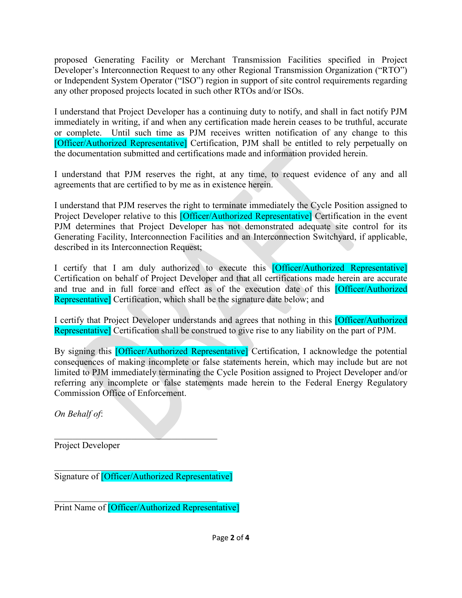proposed Generating Facility or Merchant Transmission Facilities specified in Project Developer's Interconnection Request to any other Regional Transmission Organization ("RTO") or Independent System Operator ("ISO") region in support of site control requirements regarding any other proposed projects located in such other RTOs and/or ISOs.

I understand that Project Developer has a continuing duty to notify, and shall in fact notify PJM immediately in writing, if and when any certification made herein ceases to be truthful, accurate or complete. Until such time as PJM receives written notification of any change to this [Officer/Authorized Representative] Certification, PJM shall be entitled to rely perpetually on the documentation submitted and certifications made and information provided herein.

I understand that PJM reserves the right, at any time, to request evidence of any and all agreements that are certified to by me as in existence herein.

I understand that PJM reserves the right to terminate immediately the Cycle Position assigned to Project Developer relative to this **[Officer/Authorized Representative]** Certification in the event PJM determines that Project Developer has not demonstrated adequate site control for its Generating Facility, Interconnection Facilities and an Interconnection Switchyard, if applicable, described in its Interconnection Request;

I certify that I am duly authorized to execute this **[Officer/Authorized Representative**] Certification on behalf of Project Developer and that all certifications made herein are accurate and true and in full force and effect as of the execution date of this [Officer/Authorized Representative] Certification, which shall be the signature date below; and

I certify that Project Developer understands and agrees that nothing in this [Officer/Authorized Representative] Certification shall be construed to give rise to any liability on the part of PJM.

By signing this *[Officer/Authorized Representative]* Certification, I acknowledge the potential consequences of making incomplete or false statements herein, which may include but are not limited to PJM immediately terminating the Cycle Position assigned to Project Developer and/or referring any incomplete or false statements made herein to the Federal Energy Regulatory Commission Office of Enforcement.

*On Behalf of*:

 $\mathcal{L}_\text{max}$  and  $\mathcal{L}_\text{max}$  and  $\mathcal{L}_\text{max}$ Project Developer

 $\mathcal{L}_\mathcal{L}$  , which is a set of the set of the set of the set of the set of the set of the set of the set of the set of the set of the set of the set of the set of the set of the set of the set of the set of the set of Signature of [Officer/Authorized Representative]

 $\mathcal{L}_\mathcal{L}$  , which is a set of the set of the set of the set of the set of the set of the set of the set of the set of the set of the set of the set of the set of the set of the set of the set of the set of the set of Print Name of [Officer/Authorized Representative]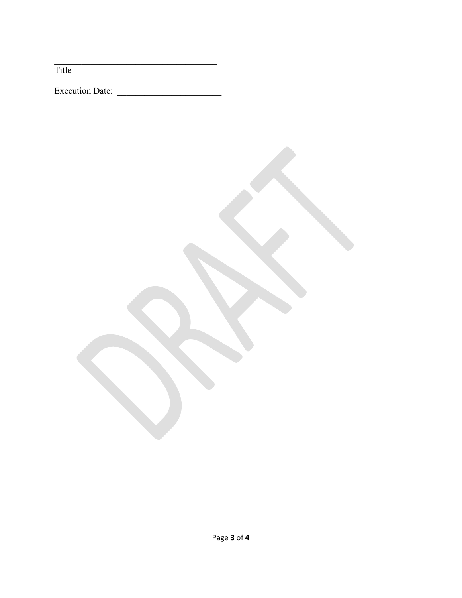Title

Execution Date: \_\_\_\_\_\_\_\_\_\_\_\_\_\_\_\_\_\_\_\_\_\_\_